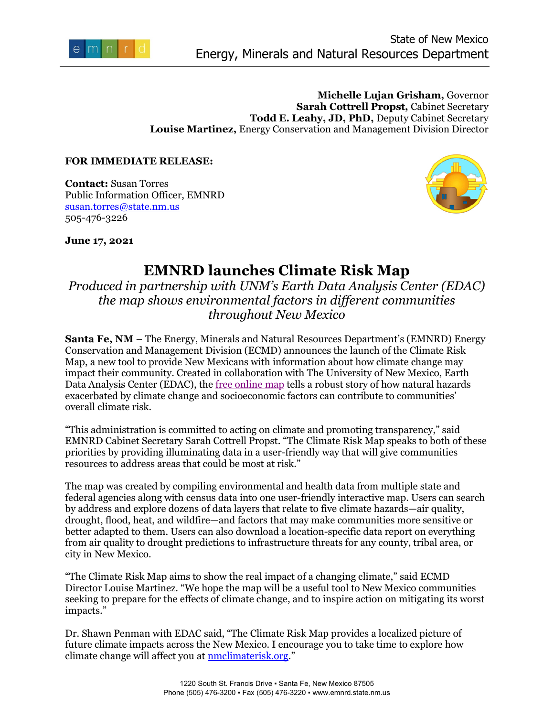

## **Michelle Lujan Grisham,** Governor **Sarah Cottrell Propst,** Cabinet Secretary **Todd E. Leahy, JD, PhD,** Deputy Cabinet Secretary **Louise Martinez,** Energy Conservation and Management Division Director

## **FOR IMMEDIATE RELEASE:**

**Contact:** Susan Torres Public Information Officer, EMNRD [susan.torres@state.nm.us](mailto:susan.torres@state.nm.us) 505-476-3226



**June 17, 2021**

## **EMNRD launches Climate Risk Map**

*Produced in partnership with UNM's Earth Data Analysis Center (EDAC) the map shows environmental factors in different communities throughout New Mexico*

**Santa Fe, NM** – The Energy, Minerals and Natural Resources Department's (EMNRD) Energy Conservation and Management Division (ECMD) announces the launch of the Climate Risk Map, a new tool to provide New Mexicans with information about how climate change may impact their community. Created in collaboration with The University of New Mexico, Earth Data Analysis Center (EDAC), the [free online map](https://nmclimaterisk.org/) tells a robust story of how natural hazards exacerbated by climate change and socioeconomic factors can contribute to communities' overall climate risk.

"This administration is committed to acting on climate and promoting transparency," said EMNRD Cabinet Secretary Sarah Cottrell Propst. "The Climate Risk Map speaks to both of these priorities by providing illuminating data in a user-friendly way that will give communities resources to address areas that could be most at risk."

The map was created by compiling environmental and health data from multiple state and federal agencies along with census data into one user-friendly interactive map. Users can search by address and explore dozens of data layers that relate to five climate hazards—air quality, drought, flood, heat, and wildfire—and factors that may make communities more sensitive or better adapted to them. Users can also download a location-specific data report on everything from air quality to drought predictions to infrastructure threats for any county, tribal area, or city in New Mexico.

"The Climate Risk Map aims to show the real impact of a changing climate," said ECMD Director Louise Martinez. "We hope the map will be a useful tool to New Mexico communities seeking to prepare for the effects of climate change, and to inspire action on mitigating its worst impacts."

Dr. Shawn Penman with EDAC said, "The Climate Risk Map provides a localized picture of future climate impacts across the New Mexico. I encourage you to take time to explore how climate change will affect you at **nmclimaterisk.org.**"